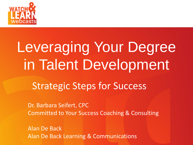

#### Pruging Pouldnma *Subhead Can Be Placed Here* Leveraging Your Degree in Talent Development

#### Strategic Steps for Success

Dr. Barbara Seifert, CPC Committed to Your Success Coaching & Consulting

Alan De Back Alan De Back Learning & Communications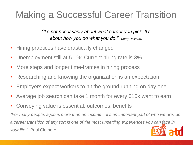#### Making a Successful Career Transition

*"It's not necessarily about what career you pick, It's about how you do what you do." Corey Doctorow*

- **Hiring practices have drastically changed**
- Unemployment still at 5.1%; Current hiring rate is 3%
- More steps and longer time-frames in hiring process
- Researching and knowing the organization is an expectation
- Employers expect workers to hit the ground running on day one
- Average job search can take 1 month for every \$10k want to earn
- Conveying value is essential; outcomes, benefits

*"For many people, a job is more than an income – it's an important part of who we are. So a career transition of any sort is one of the most unsettling experiences you can face in your life."* Paul Clethero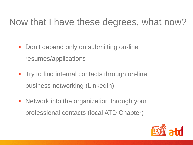#### Now that I have these degrees, what now?

- Don't depend only on submitting on-line resumes/applications
- **Try to find internal contacts through on-line** business networking (LinkedIn)
- Network into the organization through your professional contacts (local ATD Chapter)

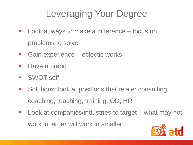### Leveraging Your Degree

- **Look at ways to make a difference focus on** problems to solve
- **Gain experience eclectic works**
- **Have a brand**
- **SWOT self**
- **Solutions: look at positions that relate: consulting,** coaching, teaching, training, OD, HR
- **Look at companies/industries to target what may not** work in larger will work in smaller

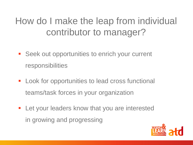#### How do I make the leap from individual contributor to manager?

- **Seek out opportunities to enrich your current** responsibilities
- **Look for opportunities to lead cross functional** teams/task forces in your organization
- **-** Let your leaders know that you are interested in growing and progressing

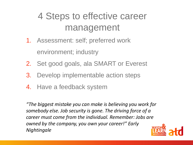#### 4 Steps to effective career management

- 1. Assessment: self; preferred work environment; industry
- 2. Set good goals, ala SMART or Everest
- 3. Develop implementable action steps
- 4. Have a feedback system

*"The biggest mistake you can make is believing you work for somebody else. Job security is gone. The driving force of a career must come from the individual. Remember: Jobs are owned by the company, you own your career!" Early Nightingale*

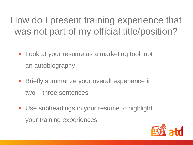How do I present training experience that was not part of my official title/position?

- **Look at your resume as a marketing tool, not** an autobiography
- **Briefly summarize your overall experience in** two – three sentences
- **Use subheadings in your resume to highlight** your training experiences

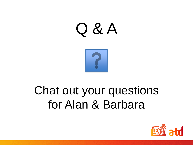# Q & A



## Chat out your questions for Alan & Barbara

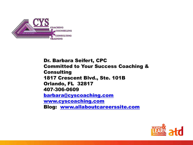

Dr. Barbara Seifert, CPC Committed to Your Success Coaching & Consulting 1817 Crescent Blvd., Ste. 101B Orlando, FL 32817 407-306-0609 [barbara@cyscoaching.com](mailto:barbara@cyscoaching.com) [www.cyscoaching.com](http://www.cyscoaching.com/) Blog: [www.allaboutcareerssite.com](http://www.allaboutcareerssite.com/)